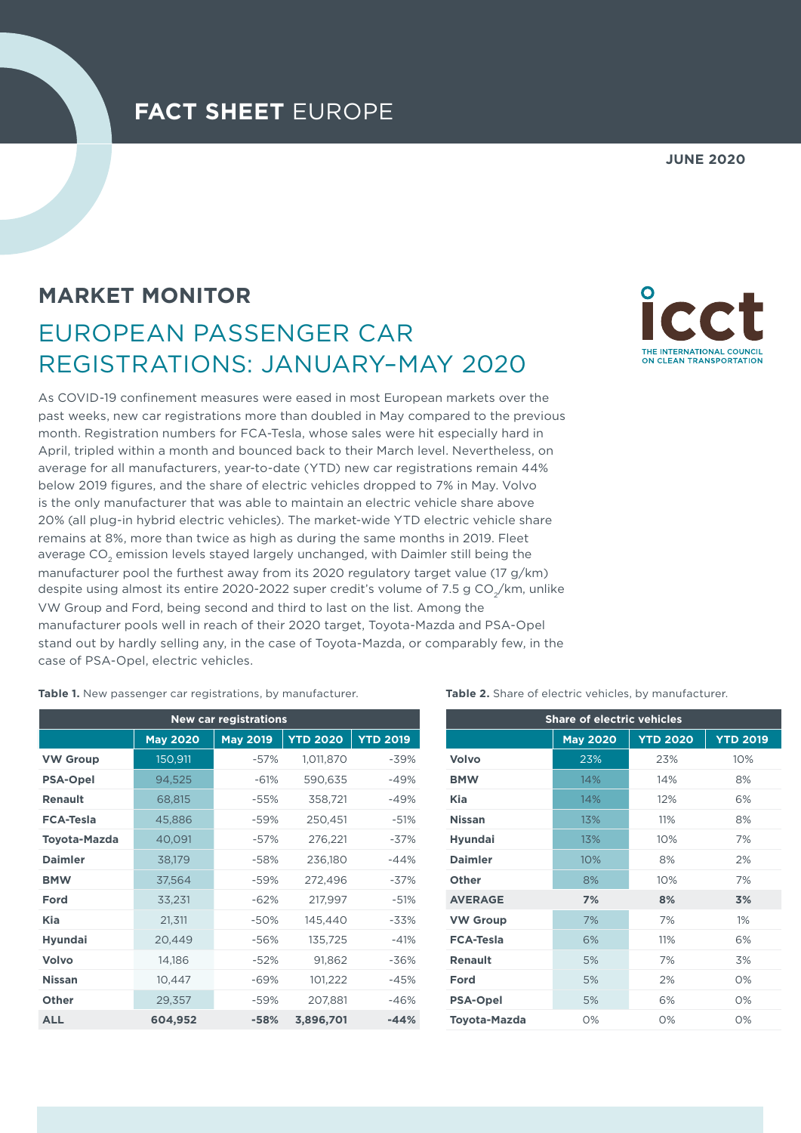## **FACT SHEET** EUROPE

## **JUNE 2020**

## **MARKET MONITOR** EUROPEAN PASSENGER CAR REGISTRATIONS: JANUARY–MAY 2020

As COVID-19 confinement measures were eased in most European markets over the past weeks, new car registrations more than doubled in May compared to the previous month. Registration numbers for FCA-Tesla, whose sales were hit especially hard in April, tripled within a month and bounced back to their March level. Nevertheless, on average for all manufacturers, year-to-date (YTD) new car registrations remain 44% below 2019 figures, and the share of electric vehicles dropped to 7% in May. Volvo is the only manufacturer that was able to maintain an electric vehicle share above 20% (all plug-in hybrid electric vehicles). The market-wide YTD electric vehicle share remains at 8%, more than twice as high as during the same months in 2019. Fleet average CO $_{\textrm{\tiny{2}}}$  emission levels stayed largely unchanged, with Daimler still being the manufacturer pool the furthest away from its 2020 regulatory target value (17 g/km) despite using almost its entire 2020-2022 super credit's volume of 7.5 g CO $_{\rm 2}$ /km, unlike VW Group and Ford, being second and third to last on the list. Among the manufacturer pools well in reach of their 2020 target, Toyota-Mazda and PSA-Opel stand out by hardly selling any, in the case of Toyota-Mazda, or comparably few, in the case of PSA-Opel, electric vehicles.

ON CLEAN TRANSPORTATION

**Table 1.** New passenger car registrations, by manufacturer.

| <b>New car registrations</b> |                 |                 |                 |                 |  |  |  |
|------------------------------|-----------------|-----------------|-----------------|-----------------|--|--|--|
|                              | <b>May 2020</b> | <b>May 2019</b> | <b>YTD 2020</b> | <b>YTD 2019</b> |  |  |  |
| <b>VW Group</b>              | 150,911         | $-57%$          | 1,011,870       | $-39%$          |  |  |  |
| <b>PSA-Opel</b>              | 94,525          | $-61%$          | 590,635         | -49%            |  |  |  |
| <b>Renault</b>               | 68,815          | $-55%$          | 358,721         | -49%            |  |  |  |
| <b>FCA-Tesla</b>             | 45,886          | -59%            | 250,451         | $-51%$          |  |  |  |
| <b>Toyota-Mazda</b>          | 40,091          | $-57%$          | 276,221         | $-37%$          |  |  |  |
| <b>Daimler</b>               | 38,179          | $-58%$          | 236,180         | $-44%$          |  |  |  |
| <b>BMW</b>                   | 37,564          | -59%            | 272,496         | $-37%$          |  |  |  |
| Ford                         | 33,231          | $-62%$          | 217,997         | $-51%$          |  |  |  |
| <b>Kia</b>                   | 21,311          | $-50%$          | 145,440         | -33%            |  |  |  |
| <b>Hyundai</b>               | 20,449          | -56%            | 135,725         | $-41%$          |  |  |  |
| Volvo                        | 14,186          | $-52%$          | 91,862          | -36%            |  |  |  |
| <b>Nissan</b>                | 10,447          | $-69%$          | 101,222         | -45%            |  |  |  |
| <b>Other</b>                 | 29,357          | -59%            | 207,881         | -46%            |  |  |  |
| ALL                          | 604,952         | $-58%$          | 3,896,701       | $-44%$          |  |  |  |

**Table 2.** Share of electric vehicles, by manufacturer.

| <b>Share of electric vehicles</b> |                 |                 |                 |  |  |
|-----------------------------------|-----------------|-----------------|-----------------|--|--|
|                                   | <b>May 2020</b> | <b>YTD 2020</b> | <b>YTD 2019</b> |  |  |
| Volvo                             | 23%             | 23%             | 10%             |  |  |
| <b>BMW</b>                        | 14%             | 14%             | 8%              |  |  |
| Kia                               | 14%             | 12%             | 6%              |  |  |
| <b>Nissan</b>                     | 13%             | 11%             | 8%              |  |  |
| <b>Hyundai</b>                    | 13%             | 10%             | 7%              |  |  |
| <b>Daimler</b>                    | 10%             | 8%              | 2%              |  |  |
| Other                             | 8%              | 10%             | 7%              |  |  |
| <b>AVERAGE</b>                    | 7%              | 8%              | 3%              |  |  |
| <b>VW Group</b>                   | 7%              | 7%              | 1%              |  |  |
| <b>FCA-Tesla</b>                  | 6%              | 11%             | 6%              |  |  |
| <b>Renault</b>                    | 5%              | 7%              | 3%              |  |  |
| Ford                              | 5%              | 2%              | O%              |  |  |
| <b>PSA-Opel</b>                   | 5%              | 6%              | O%              |  |  |
| <b>Toyota-Mazda</b>               | O%              | O%              | $O\%$           |  |  |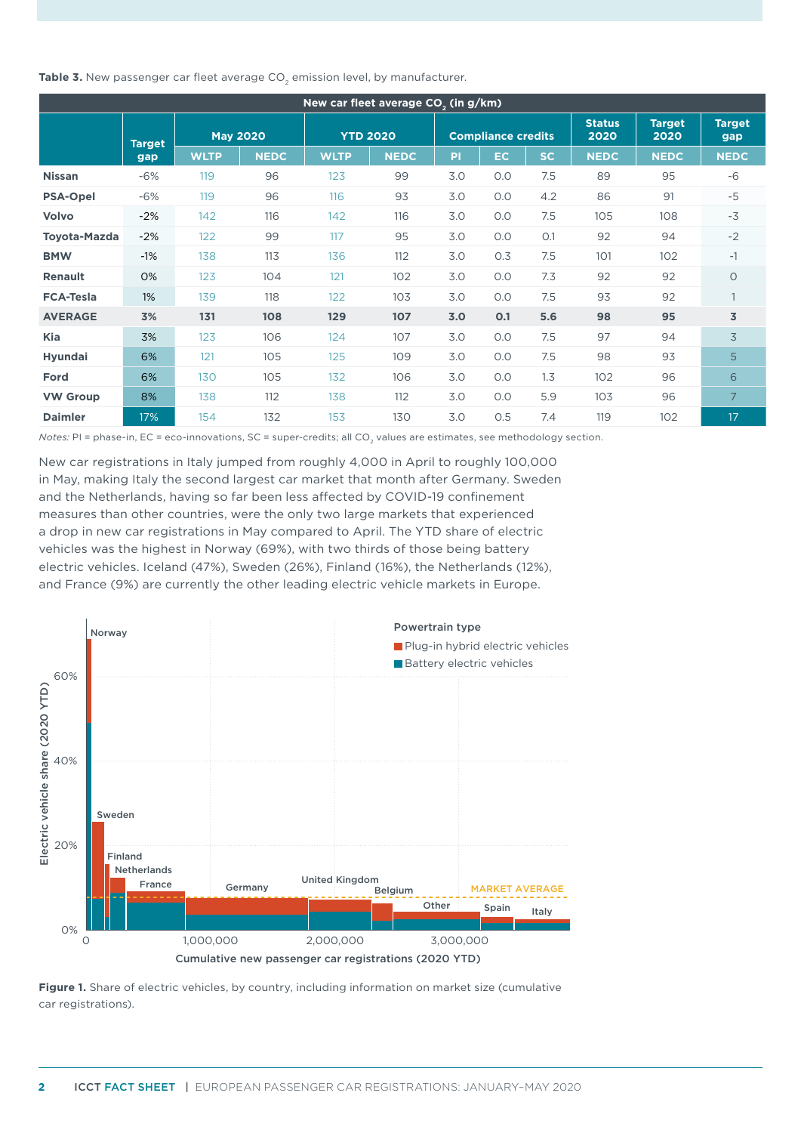Table 3. New passenger car fleet average CO<sub>2</sub> emission level, by manufacturer.

| New car fleet average CO <sub>2</sub> (in g/km) |               |             |                 |             |                 |     |                           |     |                       |                       |                      |
|-------------------------------------------------|---------------|-------------|-----------------|-------------|-----------------|-----|---------------------------|-----|-----------------------|-----------------------|----------------------|
|                                                 | <b>Target</b> |             | <b>May 2020</b> |             | <b>YTD 2020</b> |     | <b>Compliance credits</b> |     | <b>Status</b><br>2020 | <b>Target</b><br>2020 | <b>Target</b><br>gap |
|                                                 | gap           | <b>WLTP</b> | <b>NEDC</b>     | <b>WLTP</b> | <b>NEDC</b>     | PI  | EC.                       | SC. | <b>NEDC</b>           | <b>NEDC</b>           | <b>NEDC</b>          |
| <b>Nissan</b>                                   | $-6%$         | 119         | 96              | 123         | 99              | 3.0 | 0.0                       | 7.5 | 89                    | 95                    | $-6$                 |
| <b>PSA-Opel</b>                                 | $-6%$         | 119         | 96              | 116         | 93              | 3.0 | 0.0                       | 4.2 | 86                    | 91                    | $-5$                 |
| Volvo                                           | $-2%$         | 142         | 116             | 142         | 116             | 3.0 | O.O                       | 7.5 | 105                   | 108                   | $-3$                 |
| <b>Toyota-Mazda</b>                             | $-2%$         | 122         | 99              | 117         | 95              | 3.0 | 0.0                       | O.1 | 92                    | 94                    | $-2$                 |
| <b>BMW</b>                                      | $-1%$         | 138         | 113             | 136         | 112             | 3.0 | 0.3                       | 7.5 | 101                   | 102                   | $-1$                 |
| <b>Renault</b>                                  | 0%            | 123         | 104             | 121         | 102             | 3.0 | 0.0                       | 7.3 | 92                    | 92                    | $\circ$              |
| <b>FCA-Tesla</b>                                | 1%            | 139         | 118             | 122         | 103             | 3.0 | 0.0                       | 7.5 | 93                    | 92                    | $\mathbf{1}$         |
| <b>AVERAGE</b>                                  | 3%            | 131         | 108             | 129         | 107             | 3.0 | O.1                       | 5.6 | 98                    | 95                    | 3                    |
| Kia                                             | 3%            | 123         | 106             | 124         | 107             | 3.0 | 0.0                       | 7.5 | 97                    | 94                    | 3                    |
| <b>Hyundai</b>                                  | 6%            | 121         | 105             | 125         | 109             | 3.0 | 0.0                       | 7.5 | 98                    | 93                    | 5                    |
| Ford                                            | 6%            | 130         | 105             | 132         | 106             | 3.0 | 0.0                       | 1.3 | 102                   | 96                    | 6                    |
| <b>VW Group</b>                                 | 8%            | 138         | 112             | 138         | 112             | 3.0 | 0.0                       | 5.9 | 103                   | 96                    | 7                    |
| <b>Daimler</b>                                  | 17%           | 154         | 132             | 153         | 130             | 3.0 | 0.5                       | 7.4 | 119                   | 102                   | 17                   |

*Notes:* PI = phase-in, EC = eco-innovations, SC = super-credits; all CO<sub>2</sub> values are estimates, see methodology section.

New car registrations in Italy jumped from roughly 4,000 in April to roughly 100,000 in May, making Italy the second largest car market that month after Germany. Sweden and the Netherlands, having so far been less affected by COVID-19 confinement measures than other countries, were the only two large markets that experienced a drop in new car registrations in May compared to April. The YTD share of electric vehicles was the highest in Norway (69%), with two thirds of those being battery electric vehicles. Iceland (47%), Sweden (26%), Finland (16%), the Netherlands (12%), and France (9%) are currently the other leading electric vehicle markets in Europe.



**Figure 1.** Share of electric vehicles, by country, including information on market size (cumulative car registrations).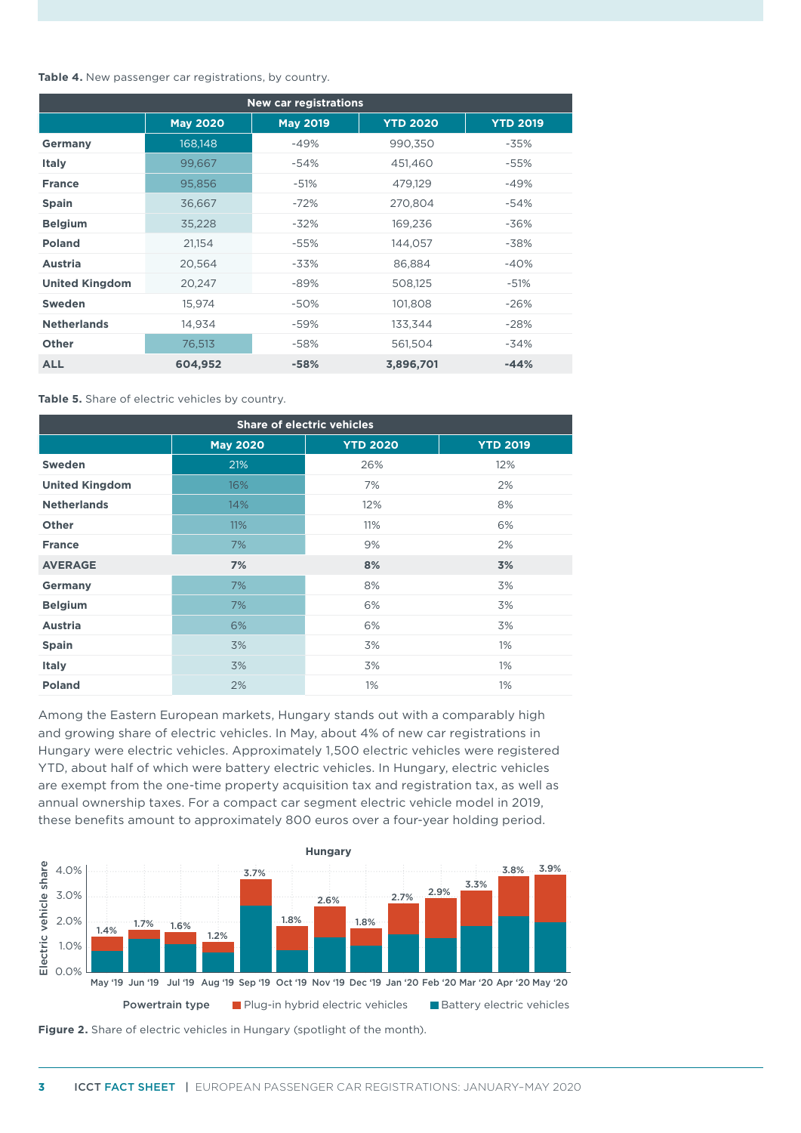**Table 4.** New passenger car registrations, by country.

| <b>New car registrations</b> |                 |                 |                 |                 |  |  |
|------------------------------|-----------------|-----------------|-----------------|-----------------|--|--|
|                              | <b>May 2020</b> | <b>May 2019</b> | <b>YTD 2020</b> | <b>YTD 2019</b> |  |  |
| <b>Germany</b>               | 168, 148        | $-49%$          | 990,350         | $-35%$          |  |  |
| <b>Italy</b>                 | 99,667          | -54%            | 451,460         | -55%            |  |  |
| <b>France</b>                | 95,856          | $-51%$          | 479,129         | -49%            |  |  |
| <b>Spain</b>                 | 36,667          | $-72%$          | 270,804         | -54%            |  |  |
| <b>Belgium</b>               | 35,228          | $-32\%$         | 169,236         | -36%            |  |  |
| <b>Poland</b>                | 21,154          | -55%            | 144,057         | $-38%$          |  |  |
| <b>Austria</b>               | 20,564          | $-33%$          | 86,884          | $-40%$          |  |  |
| <b>United Kingdom</b>        | 20,247          | -89%            | 508,125         | $-51%$          |  |  |
| <b>Sweden</b>                | 15,974          | -50%            | 101,808         | $-26%$          |  |  |
| <b>Netherlands</b>           | 14,934          | -59%            | 133,344         | $-28%$          |  |  |
| <b>Other</b>                 | 76,513          | -58%            | 561,504         | $-34%$          |  |  |
| <b>ALL</b>                   | 604,952         | $-58%$          | 3,896,701       | $-44%$          |  |  |

**Table 5.** Share of electric vehicles by country.

| <b>Share of electric vehicles</b> |                 |                 |                 |  |  |  |
|-----------------------------------|-----------------|-----------------|-----------------|--|--|--|
|                                   | <b>May 2020</b> | <b>YTD 2020</b> | <b>YTD 2019</b> |  |  |  |
| Sweden                            | 21%             | 26%             | 12%             |  |  |  |
| <b>United Kingdom</b>             | 16%             | 7%              | 2%              |  |  |  |
| <b>Netherlands</b>                | 14%             | 12%             | 8%              |  |  |  |
| <b>Other</b>                      | 11%             | 11%             | 6%              |  |  |  |
| <b>France</b>                     | 7%              | 9%              | 2%              |  |  |  |
| <b>AVERAGE</b>                    | 7%              | 8%              | 3%              |  |  |  |
| Germany                           | 7%              | 8%              | 3%              |  |  |  |
| <b>Belgium</b>                    | 7%              | 6%              | 3%              |  |  |  |
| <b>Austria</b>                    | 6%              | 6%              | 3%              |  |  |  |
| <b>Spain</b>                      | 3%              | 3%              | $1\%$           |  |  |  |
| <b>Italy</b>                      | 3%              | 3%              | $1\%$           |  |  |  |
| <b>Poland</b>                     | 2%              | $1\%$           | $1\%$           |  |  |  |

Among the Eastern European markets, Hungary stands out with a comparably high and growing share of electric vehicles. In May, about 4% of new car registrations in Hungary were electric vehicles. Approximately 1,500 electric vehicles were registered YTD, about half of which were battery electric vehicles. In Hungary, electric vehicles are exempt from the one-time property acquisition tax and registration tax, as well as annual ownership taxes. For a compact car segment electric vehicle model in 2019, these benefits amount to approximately 800 euros over a four-year holding period.